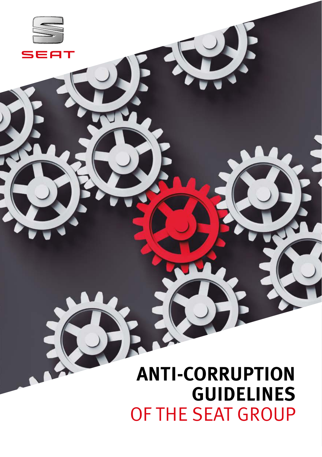# **ANTI-CORRUPTION GUIDELINES**  OF THE SEAT GROUP

qт

 $\blacksquare$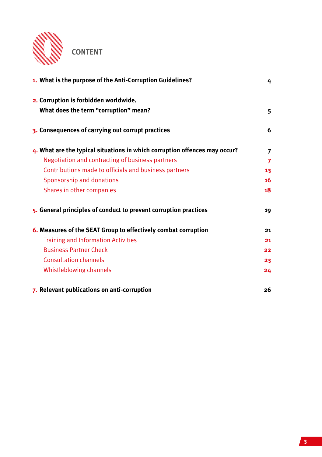

**CONTENT**

| 1. What is the purpose of the Anti-Corruption Guidelines?                  | 4  |
|----------------------------------------------------------------------------|----|
| 2. Corruption is forbidden worldwide.                                      |    |
| What does the term "corruption" mean?                                      | 5  |
| 3. Consequences of carrying out corrupt practices                          | 6  |
| 4. What are the typical situations in which corruption offences may occur? | 7  |
| Negotiation and contracting of business partners                           | 7  |
| Contributions made to officials and business partners                      | 13 |
| Sponsorship and donations                                                  | 16 |
| Shares in other companies                                                  | 18 |
| 5. General principles of conduct to prevent corruption practices           | 19 |
| 6. Measures of the SEAT Group to effectively combat corruption             | 21 |
| <b>Training and Information Activities</b>                                 | 21 |
| <b>Business Partner Check</b>                                              | 22 |
| <b>Consultation channels</b>                                               | 23 |
| Whistleblowing channels                                                    | 24 |
| 7. Relevant publications on anti-corruption                                | 26 |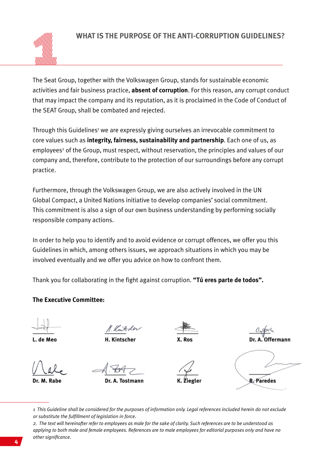

The Seat Group, together with the Volkswagen Group, stands for sustainable economic activities and fair business practice, **absent of corruption**. For this reason, any corrupt conduct that may impact the company and its reputation, as it is proclaimed in the Code of Conduct of the SEAT Group, shall be combated and rejected.

Through this Guidelines<sup>1</sup> we are expressly giving ourselves an irrevocable commitment to core values such as **integrity, fairness, sustainability and partnership**. Each one of us, as employees<sup>2</sup> of the Group, must respect, without reservation, the principles and values of our company and, therefore, contribute to the protection of our surroundings before any corrupt practice.

Furthermore, through the Volkswagen Group, we are also actively involved in the UN Global Compact, a United Nations initiative to develop companies' social commitment. This commitment is also a sign of our own business understanding by performing socially responsible company actions.

In order to help you to identify and to avoid evidence or corrupt offences, we offer you this Guidelines in which, among others issues, we approach situations in which you may be involved eventually and we offer you advice on how to confront them.

Thank you for collaborating in the fight against corruption. **"Tú eres parte de todos".**

**The Executive Committee:**

de Men

Putder

**H. Kintscher** 

**Offermann** 

Dr. M. Rabe

A. Tostmann



R Paredes

*1 This Guideline shall be considered for the purposes of information only. Legal references included herein do not exclude or substitute the fulfillment of legislation in force.* 

*2. The text will hereinafter refer to employees as male for the sake of clarity. Such references are to be understood as applying to both male and female employees. References are to male employees for editorial purposes only and have no b other significance.*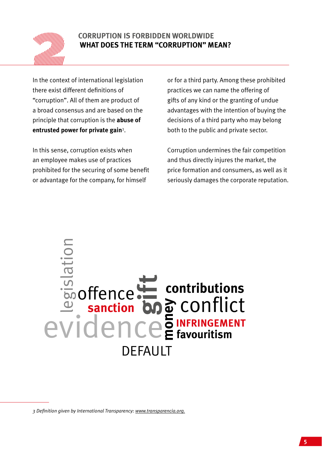

## **CORRUPTION IS FORBIDDEN WORLDWIDE WHAT DOES THE TERM "CORRUPTION" MEAN?**

In the context of international legislation there exist different definitions of "corruption". All of them are product of a broad consensus and are based on the principle that corruption is the **abuse of entrusted power for private gain**<sup>3</sup> .

In this sense, corruption exists when an employee makes use of practices prohibited for the securing of some benefit or advantage for the company, for himself

or for a third party. Among these prohibited practices we can name the offering of gifts of any kind or the granting of undue advantages with the intention of buying the decisions of a third party who may belong both to the public and private sector.

Corruption undermines the fair competition and thus directly injures the market, the price formation and consumers, as well as it seriously damages the corporate reputation.

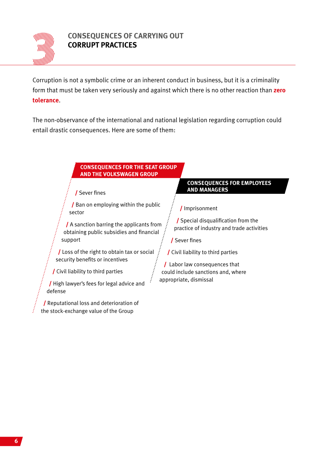

# **CONSEQUENCES OF CARRYING OUT CORRUPT PRACTICES**

Corruption is not a symbolic crime or an inherent conduct in business, but it is a criminality form that must be taken very seriously and against which there is no other reaction than **zero tolerance**.

The non-observance of the international and national legislation regarding corruption could entail drastic consequences. Here are some of them:

#### **CONSEQUENCES FOR THE SEAT GROUP AND THE VOLKSWAGEN GROUP**

/ Sever fines

/ Ban on employing within the public sector

/ A sanction barring the applicants from obtaining public subsidies and financial support

 $\prime$  Loss of the right to obtain tax or social : security benefits or incentives

/ Civil liability to third parties

/ High lawyer's fees for legal advice and defense

/ Reputational loss and deterioration of the stock-exchange value of the Group

#### **CONSEQUENCES FOR EMPLOYEES AND MANAGERS**

/ Imprisonment

/ Special disqualification from the practice of industry and trade activities

/ Sever fines

/ Civil liability to third parties

/ Labor law consequences that could include sanctions and, where appropriate, dismissal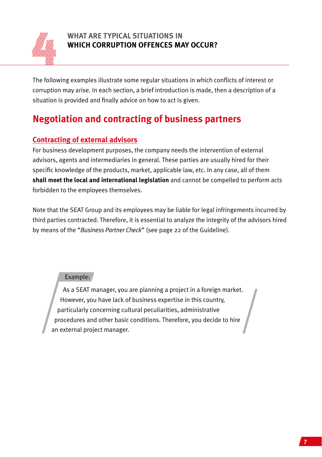

# **WHAT ARE TYPICAL SITUATIONS IN WHICH CORRUPTION OFFENCES MAY OCCUR?**

The following examples illustrate some regular situations in which conflicts of interest or corruption may arise. In each section, a brief introduction is made, then a description of a situation is provided and finally advice on how to act is given.

# **Negotiation and contracting of business partners**

# **Contracting of external advisors**

For business development purposes, the company needs the intervention of external advisors, agents and intermediaries in general. These parties are usually hired for their specific knowledge of the products, market, applicable law, etc. In any case, all of them **shall meet the local and international legislation** and cannot be compelled to perform acts forbidden to the employees themselves.

Note that the SEAT Group and its employees may be liable for legal infringements incurred by third parties contracted. Therefore, it is essential to analyze the integrity of the advisors hired by means of the "*Business Partner Check*" (see page 22 of the Guideline).

### Example:

As a SEAT manager, you are planning a project in a foreign market. However, you have lack of business expertise in this country, particularly concerning cultural peculiarities, administrative procedures and other basic conditions. Therefore, you decide to hire an external project manager.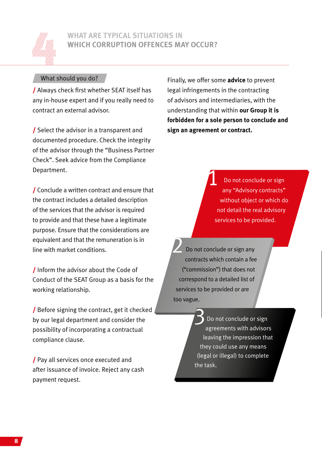

## **WHAT ARE TYPICAL SITUATIONS IN WHICH CORRUPTION OFFENCES MAY OCCUR?**

#### What should you do?

/ Always check first whether SEAT itself has any in-house expert and if you really need to contract an external advisor.

/ Select the advisor in a transparent and documented procedure. Check the integrity of the advisor through the "Business Partner Check". Seek advice from the Compliance Department.

/ Conclude a written contract and ensure that the contract includes a detailed description of the services that the advisor is required to provide and that these have a legitimate purpose. Ensure that the considerations are equivalent and that the remuneration is in line with market conditions.

/ Inform the advisor about the Code of Conduct of the SEAT Group as a basis for the working relationship.

/ Before signing the contract, get it checked by our legal department and consider the possibility of incorporating a contractual compliance clause.

/ Pay all services once executed and after issuance of invoice. Reject any cash payment request.

Finally, we offer some **advice** to prevent legal infringements in the contracting of advisors and intermediaries, with the understanding that within **our Group it is forbidden for a sole person to conclude and sign an agreement or contract.**

> Do not conclude or sign any "Advisory contracts" without object or which do not detail the real advisory services to be provided. 1

Do not conclude or sign any contracts which contain a fee ("commission") that does not correspond to a detailed list of services to be provided or are too vague.

> Do not conclude or sign agreements with advisors leaving the impression that they could use any means (legal or illegal) to complete the task.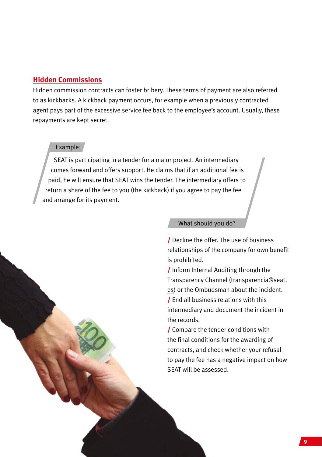#### **Hidden Commissions**

Hidden commission contracts can foster bribery. These terms of payment are also referred to as kickbacks. A kickback payment occurs, for example when a previously contracted agent pays part of the excessive service fee back to the employee's account. Usually, these repayments are kept secret.

#### Example:

SEAT is participating in a tender for a major project. An intermediary comes forward and offers support. He claims that if an additional fee is paid, he will ensure that SEAT wins the tender. The intermediary offers to return a share of the fee to you (the kickback) if you agree to pay the fee and arrange for its payment.

#### What should you do?

/ Decline the offer. The use of business relationships of the company for own benefit is prohibited.

/ Inform Internal Auditing through the Transparency Channel (transparencia@seat. es) or the Ombudsman about the incident. / End all business relations with this intermediary and document the incident in the records.

/ Compare the tender conditions with the final conditions for the awarding of contracts, and check whether your refusal to pay the fee has a negative impact on how SEAT will be assessed.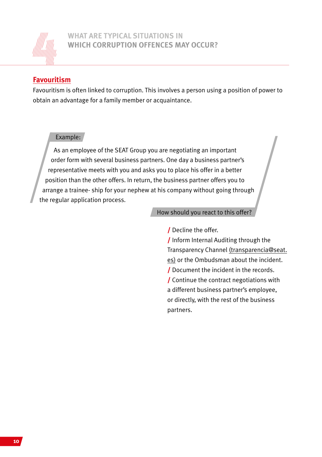

### **WHAT ARE TYPICAL SITUATIONS IN WHICH CORRUPTION OFFENCES MAY OCCUR?**

# **Favouritism**

Favouritism is often linked to corruption. This involves a person using a position of power to obtain an advantage for a family member or acquaintance.

#### Example:

As an employee of the SEAT Group you are negotiating an important order form with several business partners. One day a business partner's representative meets with you and asks you to place his offer in a better position than the other offers. In return, the business partner offers you to arrange a trainee- ship for your nephew at his company without going through the regular application process.

#### How should you react to this offer?

/ Decline the offer.

/ Inform Internal Auditing through the Transparency Channel (transparencia@seat. es) or the Ombudsman about the incident. / Document the incident in the records. / Continue the contract negotiations with a different business partner's employee, or directly, with the rest of the business partners.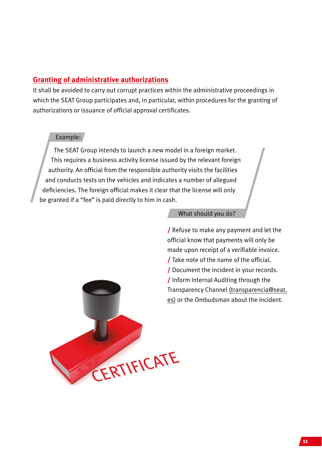## **Granting of administrative authorizations**

It shall be avoided to carry out corrupt practices within the administrative proceedings in which the SEAT Group participates and, in particular, within procedures for the granting of authorizations or issuance of official approval certificates.

#### Example:

The SEAT Group intends to launch a new model in a foreign market. This requires a business activity license issued by the relevant foreign authority. An official from the responsible authority visits the facilities and conducts tests on the vehicles and indicates a number of allegued deficiencies. The foreign official makes it clear that the license will only be granted if a "fee" is paid directly to him in cash.

#### What should you do?

/ Refuse to make any payment and let the official know that payments will only be made upon receipt of a verifiable invoice. / Take note of the name of the official. / Document the incident in your records. / Inform Internal Auditing through the Transparency Channel (transparencia@seat. es) or the Ombudsman about the incident.

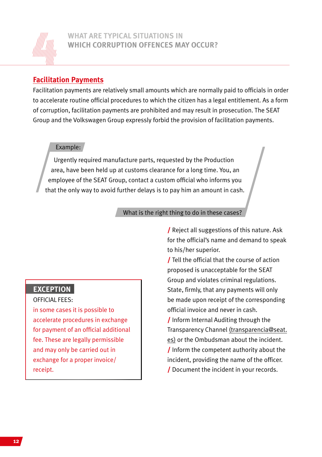

# **Facilitation Payments**

Facilitation payments are relatively small amounts which are normally paid to officials in order to accelerate routine official procedures to which the citizen has a legal entitlement. As a form of corruption, facilitation payments are prohibited and may result in prosecution. The SEAT Group and the Volkswagen Group expressly forbid the provision of facilitation payments.

#### Example:

Urgently required manufacture parts, requested by the Production area, have been held up at customs clearance for a long time. You, an employee of the SEAT Group, contact a custom official who informs you that the only way to avoid further delays is to pay him an amount in cash.

#### What is the right thing to do in these cases?

# **EXCEPTION**

OFFICIAL FEES: in some cases it is possible to accelerate procedures in exchange for payment of an official additional fee. These are legally permissible and may only be carried out in exchange for a proper invoice/ receipt.

/ Reject all suggestions of this nature. Ask for the official's name and demand to speak to his/her superior.

/ Tell the official that the course of action proposed is unacceptable for the SEAT Group and violates criminal regulations. State, firmly, that any payments will only be made upon receipt of the corresponding official invoice and never in cash.

/ Inform Internal Auditing through the Transparency Channel (transparencia@seat. es) or the Ombudsman about the incident. / Inform the competent authority about the incident, providing the name of the officer. / Document the incident in your records.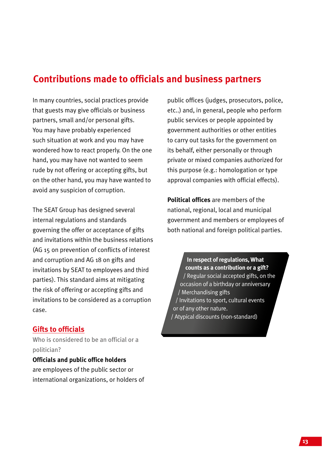# **Contributions made to officials and business partners**

In many countries, social practices provide that guests may give officials or business partners, small and/or personal gifts. You may have probably experienced such situation at work and you may have wondered how to react properly. On the one hand, you may have not wanted to seem rude by not offering or accepting gifts, but on the other hand, you may have wanted to avoid any suspicion of corruption.

The SEAT Group has designed several internal regulations and standards governing the offer or acceptance of gifts and invitations within the business relations (AG 15 on prevention of conflicts of interest and corruption and AG 18 on gifts and invitations by SEAT to employees and third parties). This standard aims at mitigating the risk of offering or accepting gifts and invitations to be considered as a corruption case.

### **Gifts to officials**

Who is considered to be an official or a politician?

**Officials and public office holders** are employees of the public sector or international organizations, or holders of public offices (judges, prosecutors, police, etc..) and, in general, people who perform public services or people appointed by government authorities or other entities to carry out tasks for the government on its behalf, either personally or through private or mixed companies authorized for this purpose (e.g.: homologation or type approval companies with official effects).

**Political offices** are members of the national, regional, local and municipal government and members or employees of both national and foreign political parties.

**In respect of regulations, What counts as a contribution or a gift?** / Regular social accepted gifts, on the occasion of a birthday or anniversary / Merchandising gifts / Invitations to sport, cultural events or of any other nature. / Atypical discounts (non-standard)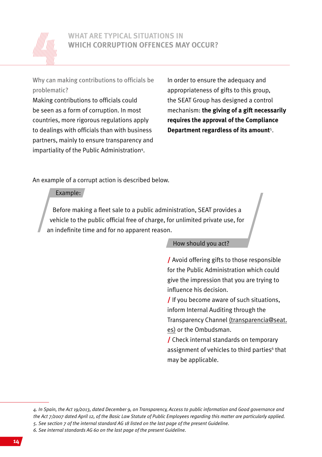

Why can making contributions to officials be problematic?

Making contributions to officials could be seen as a form of corruption. In most countries, more rigorous regulations apply to dealings with officials than with business partners, mainly to ensure transparency and impartiality of the Public Administration<sup>4</sup>.

In order to ensure the adequacy and appropriateness of gifts to this group, the SEAT Group has designed a control mechanism: **the giving of a gift necessarily requires the approval of the Compliance Department regardless of its amount**<sup>5</sup> .

An example of a corrupt action is described below.

#### Example:

Before making a fleet sale to a public administration, SEAT provides a vehicle to the public official free of charge, for unlimited private use, for an indefinite time and for no apparent reason.

#### How should you act?

/ Avoid offering gifts to those responsible for the Public Administration which could give the impression that you are trying to influence his decision.

/ If you become aware of such situations, inform Internal Auditing through the

Transparency Channel (transparencia@seat. es) or the Ombudsman.

/ Check internal standards on temporary assignment of vehicles to third parties<sup>6</sup> that may be applicable.

*6. See internal standards AG 60 on the last page of the present Guideline.*

*<sup>4.</sup> In Spain, the Act 19/2013, dated December 9, on Transparency, Access to public information and Good governance and the Act 7/2007 dated April 12, of the Basic Law Statute of Public Employees regarding this matter are particularly applied. 5. See section 7 of the internal standard AG 18 listed on the last page of the present Guideline.*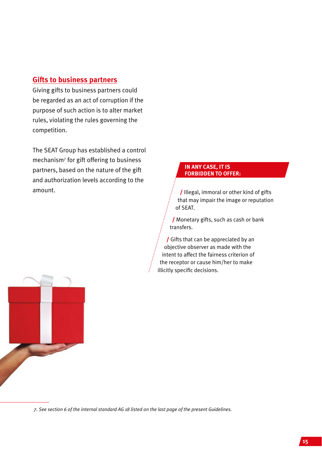# **Gifts to business partners**

Giving gifts to business partners could be regarded as an act of corruption if the purpose of such action is to alter market rules, violating the rules governing the competition.

The SEAT Group has established a control mechanism7 for gift offering to business partners, based on the nature of the gift and authorization levels according to the amount.

#### **IN ANY CASE, IT IS FORBIDDEN TO OFFER:**

/ Illegal, immoral or other kind of gifts that may impair the image or reputation of SEAT.

/ Monetary gifts, such as cash or bank transfers.

/ Gifts that can be appreciated by an objective observer as made with the intent to affect the fairness criterion of the receptor or cause him/her to make illicitly specific decisions.



*7. See section 6 of the internal standard AG 18 listed on the last page of the present Guidelines.*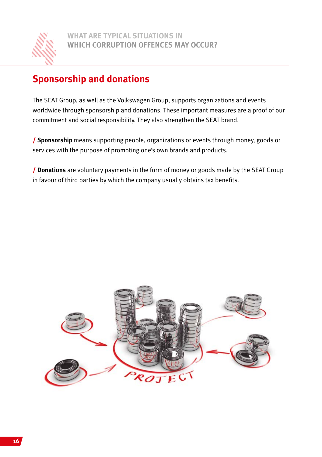

# **Sponsorship and donations**

The SEAT Group, as well as the Volkswagen Group, supports organizations and events worldwide through sponsorship and donations. These important measures are a proof of our commitment and social responsibility. They also strengthen the SEAT brand.

/ **Sponsorship** means supporting people, organizations or events through money, goods or services with the purpose of promoting one's own brands and products.

/ **Donations** are voluntary payments in the form of money or goods made by the SEAT Group in favour of third parties by which the company usually obtains tax benefits.

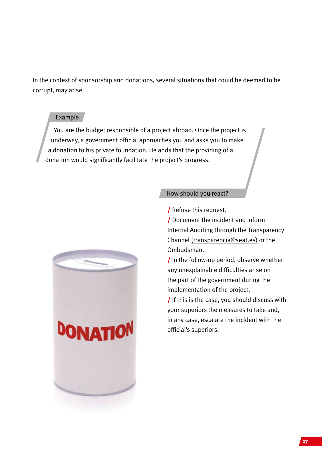In the context of sponsorship and donations, several situations that could be deemed to be corrupt, may arise:

#### Example:

You are the budget responsible of a project abroad. Once the project is underway, a government official approaches you and asks you to make a donation to his private foundation. He adds that the providing of a donation would significantly facilitate the project's progress.



#### How should you react?

/ Refuse this request.

/ Document the incident and inform Internal Auditing through the Transparency Channel (transparencia@seat.es) or the Ombudsman.

/ In the follow-up period, observe whether any unexplainable difficulties arise on the part of the government during the implementation of the project.

/ If this is the case, you should discuss with your superiors the measures to take and, in any case, escalate the incident with the official's superiors.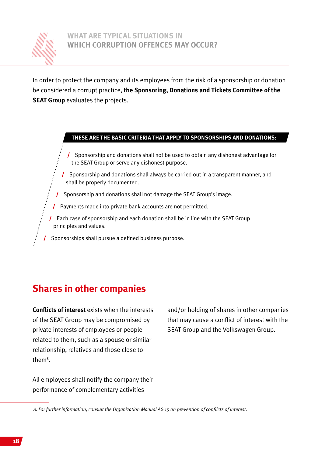

### **WHAT ARE TYPICAL SITUATIONS IN WHICH CORRUPTION OFFENCES MAY OCCUR?**

In order to protect the company and its employees from the risk of a sponsorship or donation be considered a corrupt practice, **the Sponsoring, Donations and Tickets Committee of the SEAT Group** evaluates the projects.

#### **THESE ARE THE BASIC CRITERIA THAT APPLY TO SPONSORSHIPS AND DONATIONS:**

/ Sponsorship and donations shall not be used to obtain any dishonest advantage for the SEAT Group or serve any dishonest purpose.

- / Sponsorship and donations shall always be carried out in a transparent manner, and shall be properly documented.
- / Sponsorship and donations shall not damage the SEAT Group's image.
- / Payments made into private bank accounts are not permitted.
- / Each case of sponsorship and each donation shall be in line with the SEAT Group principles and values.
- / Sponsorships shall pursue a defined business purpose.

# **Shares in other companies**

**Conflicts of interest** exists when the interests of the SEAT Group may be compromised by private interests of employees or people related to them, such as a spouse or similar relationship, relatives and those close to them<sup>8</sup>.

and/or holding of shares in other companies that may cause a conflict of interest with the SEAT Group and the Volkswagen Group.

All employees shall notify the company their performance of complementary activities

*8. For further information, consult the Organization Manual AG 15 on prevention of conflicts of interest.*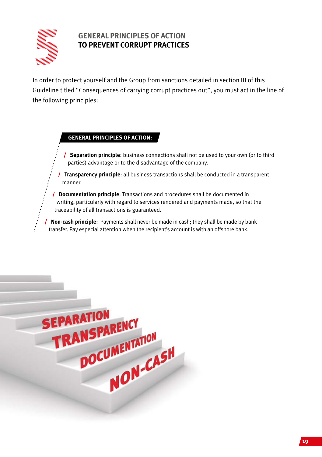

# **GENERAL PRINCIPLES OF ACTION TO PREVENT CORRUPT PRACTICES**

In order to protect yourself and the Group from sanctions detailed in section III of this Guideline titled "Consequences of carrying corrupt practices out", you must act in the line of the following principles:

#### **GENERAL PRINCIPLES OF ACTION:**

/ **Separation principle**: business connections shall not be used to your own (or to third parties) advantage or to the disadvantage of the company.

/ **Transparency principle**: all business transactions shall be conducted in a transparent manner.

/ **Documentation principle**: Transactions and procedures shall be documented in writing, particularly with regard to services rendered and payments made, so that the traceability of all transactions is guaranteed.

/ **Non-cash principle**: Payments shall never be made in cash; they shall be made by bank transfer. Pay especial attention when the recipient's account is with an offshore bank.

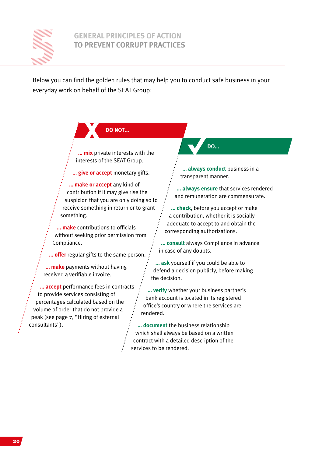

### **GENERAL PRINCIPLES OF ACTION TO PREVENT CORRUPT PRACTICES**

Below you can find the golden rules that may help you to conduct safe business in your everyday work on behalf of the SEAT Group:

> **DO NOT… x**

**… mix** private interests with the interests of the SEAT Group.

**… give or accept** monetary gifts.

**… make or accept** any kind of contribution if it may give rise the suspicion that you are only doing so to receive something in return or to grant something.

**… make** contributions to officials without seeking prior permission from Compliance.

**… offer** regular gifts to the same person.

**… make** payments without having received a verifiable invoice.

**… accept** performance fees in contracts to provide services consisting of percentages calculated based on the volume of order that do not provide a peak (see page 7, "Hiring of external consultants").

**DO…**

**… always conduct** business in a transparent manner.

**… always ensure** that services rendered and remuneration are commensurate.

**… check**, before you accept or make a contribution, whether it is socially adequate to accept to and obtain the corresponding authorizations.

**… consult** always Compliance in advance in case of any doubts.

**… ask** yourself if you could be able to defend a decision publicly, before making the decision.

**… verify** whether your business partner's bank account is located in its registered office's country or where the services are rendered.

**… document** the business relationship which shall always be based on a written contract with a detailed description of the services to be rendered.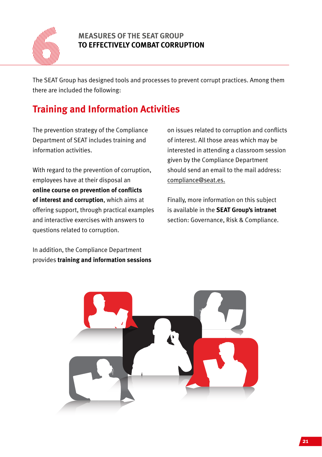

# **MEASURES OF THE SEAT GROUP TO EFFECTIVELY COMBAT CORRUPTION**

The SEAT Group has designed tools and processes to prevent corrupt practices. Among them there are included the following:

# **Training and Information Activities**

The prevention strategy of the Compliance Department of SEAT includes training and information activities.

With regard to the prevention of corruption. employees have at their disposal an **online course on prevention of conflicts of interest and corruption**, which aims at offering support, through practical examples and interactive exercises with answers to questions related to corruption.

In addition, the Compliance Department provides **training and information sessions** on issues related to corruption and conflicts of interest. All those areas which may be interested in attending a classroom session given by the Compliance Department should send an email to the mail address: compliance@seat.es.

Finally, more information on this subject is available in the **SEAT Group's intranet** section: Governance, Risk & Compliance.

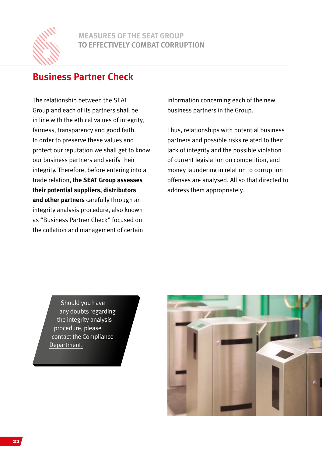

# **MEASURES OF THE SEAT GROUP TO EFFECTIVELY COMBAT CORRUPTION**

# **Business Partner Check**

The relationship between the SEAT Group and each of its partners shall be in line with the ethical values of integrity, fairness, transparency and good faith. In order to preserve these values and protect our reputation we shall get to know our business partners and verify their integrity. Therefore, before entering into a trade relation, **the SEAT Group assesses their potential suppliers, distributors and other partners** carefully through an integrity analysis procedure, also known as "Business Partner Check" focused on the collation and management of certain

information concerning each of the new business partners in the Group.

Thus, relationships with potential business partners and possible risks related to their lack of integrity and the possible violation of current legislation on competition, and money laundering in relation to corruption offenses are analysed. All so that directed to address them appropriately.

Should you have any doubts regarding the integrity analysis procedure, please contact the Compliance Department.

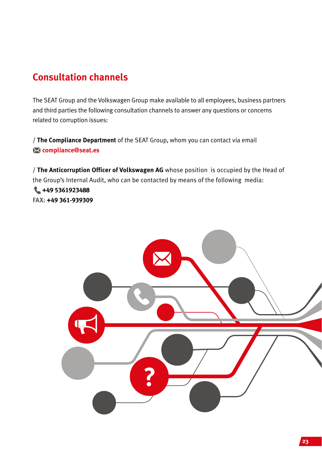# **Consultation channels**

The SEAT Group and the Volkswagen Group make available to all employees, business partners and third parties the following consultation channels to answer any questions or concerns related to corruption issues:

/ **The Compliance Department** of the SEAT Group, whom you can contact via email  **compliance@seat.es**

/ **The Anticorruption Officer of Volkswagen AG** whose position is occupied by the Head of the Group's Internal Audit, who can be contacted by means of the following media: **+49 5361923488 FAX: +49 361-939309**

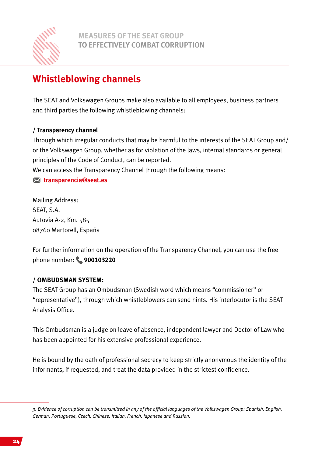

# **MEASURES OF THE SEAT GROUP TO EFFECTIVELY COMBAT CORRUPTION**

# **Whistleblowing channels**

The SEAT and Volkswagen Groups make also available to all employees, business partners and third parties the following whistleblowing channels:

## **/ Transparency channel**

Through which irregular conducts that may be harmful to the interests of the SEAT Group and/ or the Volkswagen Group, whether as for violation of the laws, internal standards or general principles of the Code of Conduct, can be reported.

We can access the Transparency Channel through the following means:

### **transparencia@seat.es**

Mailing Address: SEAT, S.A. Autovía A-2, Km. 585 08760 Martorell, España

For further information on the operation of the Transparency Channel, you can use the free phone number: **900103220**

### **/ OMBUDSMAN SYSTEM:**

The SEAT Group has an Ombudsman (Swedish word which means "commissioner" or "representative"), through which whistleblowers can send hints. His interlocutor is the SEAT Analysis Office.

This Ombudsman is a judge on leave of absence, independent lawyer and Doctor of Law who has been appointed for his extensive professional experience.

He is bound by the oath of professional secrecy to keep strictly anonymous the identity of the informants, if requested, and treat the data provided in the strictest confidence.

*<sup>9.</sup> Evidence of corruption can be transmitted in any of the official languages of the Volkswagen Group: Spanish, English, German, Portuguese, Czech, Chinese, Italian, French, Japanese and Russian.*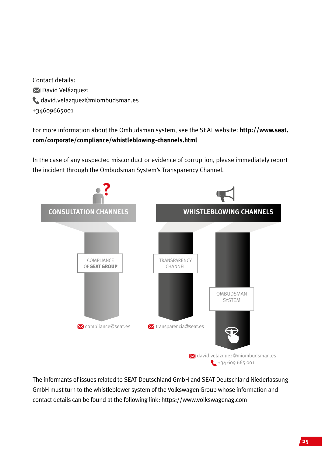Contact details: **N** David Velázquez: david.velazquez@miombudsman.es +34609665001

For more information about the Ombudsman system, see the SEAT website: **http://www.seat. com/corporate/compliance/whistleblowing-channels.html** 

In the case of any suspected misconduct or evidence of corruption, please immediately report the incident through the Ombudsman System's Transparency Channel.



The informants of issues related to SEAT Deutschland GmbH and SEAT Deutschland Niederlassung GmbH must turn to the whistleblower system of the Volkswagen Group whose information and contact details can be found at the following link: https://www.volkswagenag.com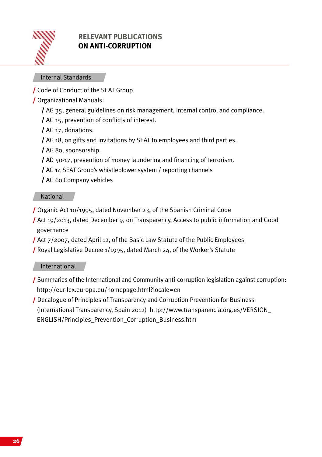

# **RELEVANT PUBLICATIONS ON ANTI-CORRUPTION**

#### Internal Standards

/ Code of Conduct of the SEAT Group

- / Organizational Manuals:
	- / AG 35, general guidelines on risk management, internal control and compliance.
	- / AG 15, prevention of conflicts of interest.
	- / AG 17, donations.
	- / AG 18, on gifts and invitations by SEAT to employees and third parties.
	- / AG 80, sponsorship.
	- / AD 50-17, prevention of money laundering and financing of terrorism.
	- / AG 14 SEAT Group's whistleblower system / reporting channels
	- / AG 60 Company vehicles

#### National

- / Organic Act 10/1995, dated November 23, of the Spanish Criminal Code
- / Act 19/2013, dated December 9, on Transparency, Access to public information and Good governance
- / Act 7/2007, dated April 12, of the Basic Law Statute of the Public Employees
- / Royal Legislative Decree 1/1995, dated March 24, of the Worker's Statute

### International

- / Summaries of the International and Community anti-corruption legislation against corruption: http://eur-lex.europa.eu/homepage.html?locale=en
- / Decalogue of Principles of Transparency and Corruption Prevention for Business (International Transparency, Spain 2012) http://www.transparencia.org.es/VERSION\_ ENGLISH/Principles\_Prevention\_Corruption\_Business.htm